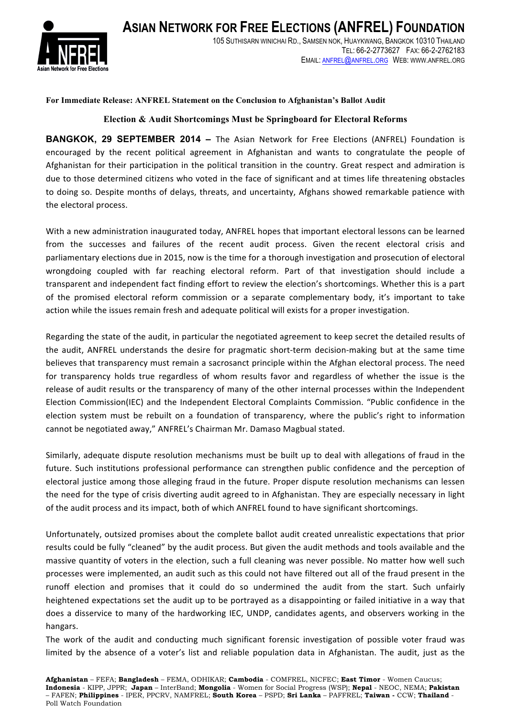

## **For Immediate Release: ANFREL Statement on the Conclusion to Afghanistan's Ballot Audit**

## **Election & Audit Shortcomings Must be Springboard for Electoral Reforms**

**BANGKOK, 29 SEPTEMBER 2014 –** The Asian Network for Free Elections (ANFREL) Foundation is encouraged by the recent political agreement in Afghanistan and wants to congratulate the people of Afghanistan for their participation in the political transition in the country. Great respect and admiration is due to those determined citizens who voted in the face of significant and at times life threatening obstacles to doing so. Despite months of delays, threats, and uncertainty, Afghans showed remarkable patience with the electoral process.

With a new administration inaugurated today, ANFREL hopes that important electoral lessons can be learned from the successes and failures of the recent audit process. Given the recent electoral crisis and parliamentary elections due in 2015, now is the time for a thorough investigation and prosecution of electoral wrongdoing coupled with far reaching electoral reform. Part of that investigation should include a transparent and independent fact finding effort to review the election's shortcomings. Whether this is a part of the promised electoral reform commission or a separate complementary body, it's important to take action while the issues remain fresh and adequate political will exists for a proper investigation.

Regarding the state of the audit, in particular the negotiated agreement to keep secret the detailed results of the audit, ANFREL understands the desire for pragmatic short-term decision-making but at the same time believes that transparency must remain a sacrosanct principle within the Afghan electoral process. The need for transparency holds true regardless of whom results favor and regardless of whether the issue is the release of audit results or the transparency of many of the other internal processes within the Independent Election Commission(IEC) and the Independent Electoral Complaints Commission. "Public confidence in the election system must be rebuilt on a foundation of transparency, where the public's right to information cannot be negotiated away," ANFREL's Chairman Mr. Damaso Magbual stated.

Similarly, adequate dispute resolution mechanisms must be built up to deal with allegations of fraud in the future. Such institutions professional performance can strengthen public confidence and the perception of electoral justice among those alleging fraud in the future. Proper dispute resolution mechanisms can lessen the need for the type of crisis diverting audit agreed to in Afghanistan. They are especially necessary in light of the audit process and its impact, both of which ANFREL found to have significant shortcomings.

Unfortunately, outsized promises about the complete ballot audit created unrealistic expectations that prior results could be fully "cleaned" by the audit process. But given the audit methods and tools available and the massive quantity of voters in the election, such a full cleaning was never possible. No matter how well such processes were implemented, an audit such as this could not have filtered out all of the fraud present in the runoff election and promises that it could do so undermined the audit from the start. Such unfairly heightened expectations set the audit up to be portrayed as a disappointing or failed initiative in a way that does a disservice to many of the hardworking IEC, UNDP, candidates agents, and observers working in the hangars.

The work of the audit and conducting much significant forensic investigation of possible voter fraud was limited by the absence of a voter's list and reliable population data in Afghanistan. The audit, just as the